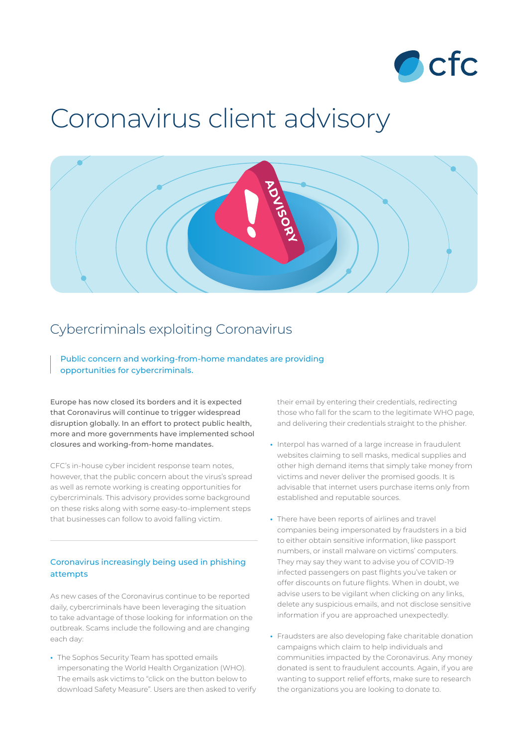

# Coronavirus client advisory



# Cybercriminals exploiting Coronavirus

Public concern and working-from-home mandates are providing opportunities for cybercriminals.

Europe has now closed its borders and it is expected that Coronavirus will continue to trigger widespread disruption globally. In an effort to protect public health, more and more governments have implemented school closures and working-from-home mandates.

CFC's in-house cyber incident response team notes, however, that the public concern about the virus's spread as well as remote working is creating opportunities for cybercriminals. This advisory provides some background on these risks along with some easy-to-implement steps that businesses can follow to avoid falling victim.

#### Coronavirus increasingly being used in phishing attempts

As new cases of the Coronavirus continue to be reported daily, cybercriminals have been leveraging the situation to take advantage of those looking for information on the outbreak. Scams include the following and are changing each day:

**•** The Sophos Security Team has spotted emails impersonating the World Health Organization (WHO). The emails ask victims to "click on the button below to download Safety Measure". Users are then asked to verify their email by entering their credentials, redirecting those who fall for the scam to the legitimate WHO page, and delivering their credentials straight to the phisher.

- **•** Interpol has warned of a large increase in fraudulent websites claiming to sell masks, medical supplies and other high demand items that simply take money from victims and never deliver the promised goods. It is advisable that internet users purchase items only from established and reputable sources.
- **•** There have been reports of airlines and travel companies being impersonated by fraudsters in a bid to either obtain sensitive information, like passport numbers, or install malware on victims' computers. They may say they want to advise you of COVID-19 infected passengers on past flights you've taken or offer discounts on future flights. When in doubt, we advise users to be vigilant when clicking on any links, delete any suspicious emails, and not disclose sensitive information if you are approached unexpectedly.
- **•** Fraudsters are also developing fake charitable donation campaigns which claim to help individuals and communities impacted by the Coronavirus. Any money donated is sent to fraudulent accounts. Again, if you are wanting to support relief efforts, make sure to research the organizations you are looking to donate to.